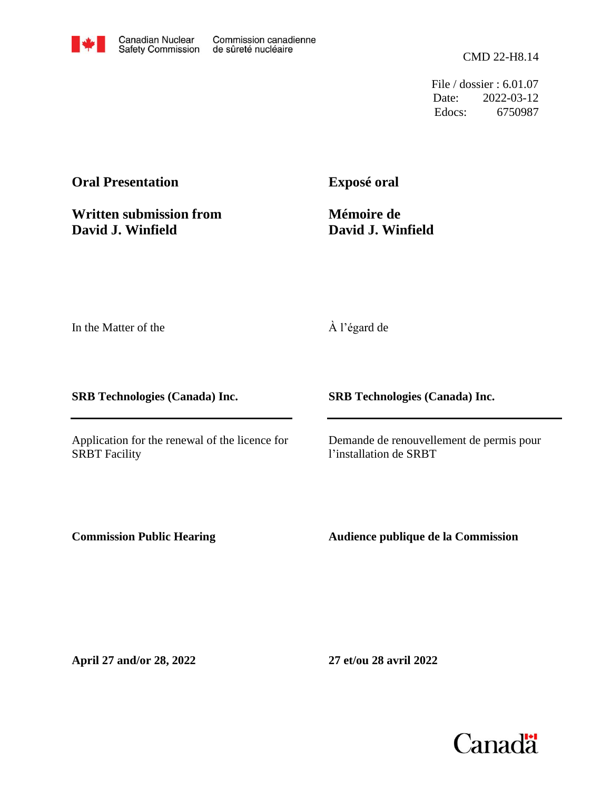CMD 22-H8.14

File / dossier : 6.01.07 Date: 2022-03-12 Edocs: 6750987

# **Oral Presentation**

**Exposé oral**

À l'égard de

**Written submission from David J. Winfield**

**Mémoire de David J. Winfield**

In the Matter of the

**SRB Technologies (Canada) Inc.**

Application for the renewal of the licence for SRBT Facility

**SRB Technologies (Canada) Inc.**

Demande de renouvellement de permis pour l'installation de SRBT

**Commission Public Hearing**

**Audience publique de la Commission**

**April 27 and/or 28, 2022**

**27 et/ou 28 avril 2022**

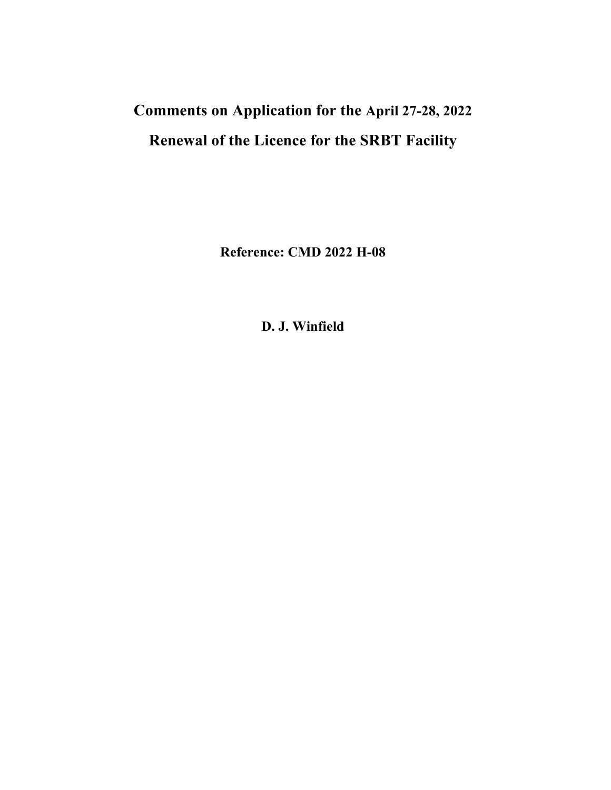# **Comments on Application for the April 27-28, 2022 Renewal of the Licence for the SRBT Facility**

**Reference: CMD 2022 H-08**

**D. J. Winfield**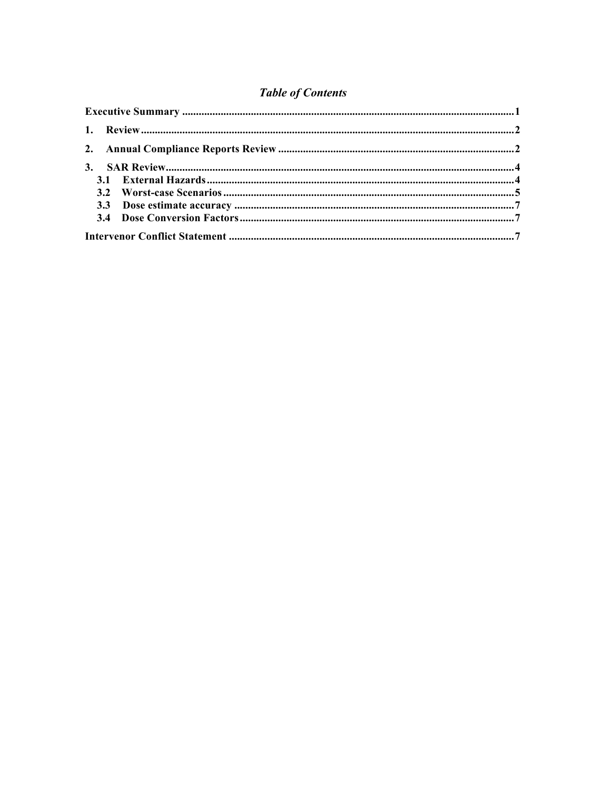# **Table of Contents**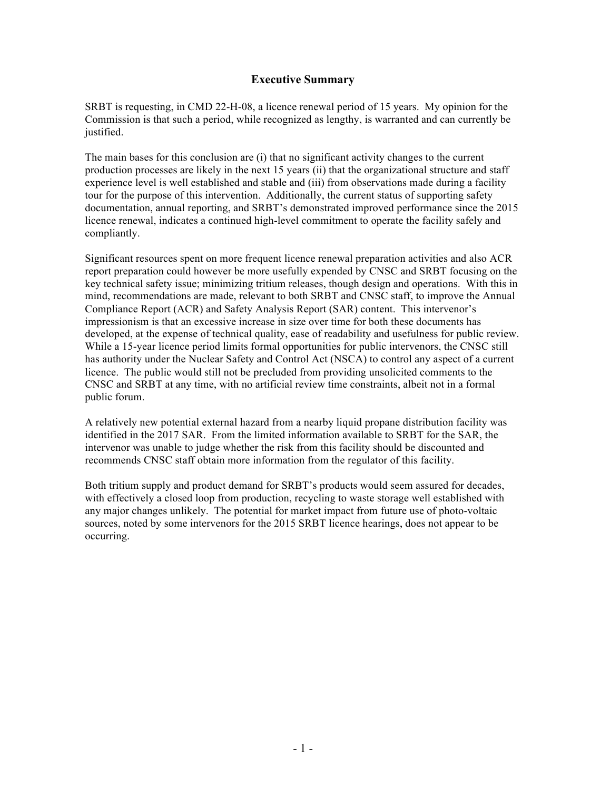## **Executive Summary**

SRBT is requesting, in CMD 22-H-08, a licence renewal period of 15 years. My opinion for the Commission is that such a period, while recognized as lengthy, is warranted and can currently be justified.

The main bases for this conclusion are (i) that no significant activity changes to the current production processes are likely in the next 15 years (ii) that the organizational structure and staff experience level is well established and stable and (iii) from observations made during a facility tour for the purpose of this intervention. Additionally, the current status of supporting safety documentation, annual reporting, and SRBT's demonstrated improved performance since the 2015 licence renewal, indicates a continued high-level commitment to operate the facility safely and compliantly.

Significant resources spent on more frequent licence renewal preparation activities and also ACR report preparation could however be more usefully expended by CNSC and SRBT focusing on the key technical safety issue; minimizing tritium releases, though design and operations. With this in mind, recommendations are made, relevant to both SRBT and CNSC staff, to improve the Annual Compliance Report (ACR) and Safety Analysis Report (SAR) content. This intervenor's impressionism is that an excessive increase in size over time for both these documents has developed, at the expense of technical quality, ease of readability and usefulness for public review. While a 15-year licence period limits formal opportunities for public intervenors, the CNSC still has authority under the Nuclear Safety and Control Act (NSCA) to control any aspect of a current licence. The public would still not be precluded from providing unsolicited comments to the CNSC and SRBT at any time, with no artificial review time constraints, albeit not in a formal public forum.

A relatively new potential external hazard from a nearby liquid propane distribution facility was identified in the 2017 SAR. From the limited information available to SRBT for the SAR, the intervenor was unable to judge whether the risk from this facility should be discounted and recommends CNSC staff obtain more information from the regulator of this facility.

Both tritium supply and product demand for SRBT's products would seem assured for decades, with effectively a closed loop from production, recycling to waste storage well established with any major changes unlikely. The potential for market impact from future use of photo-voltaic sources, noted by some intervenors for the 2015 SRBT licence hearings, does not appear to be occurring.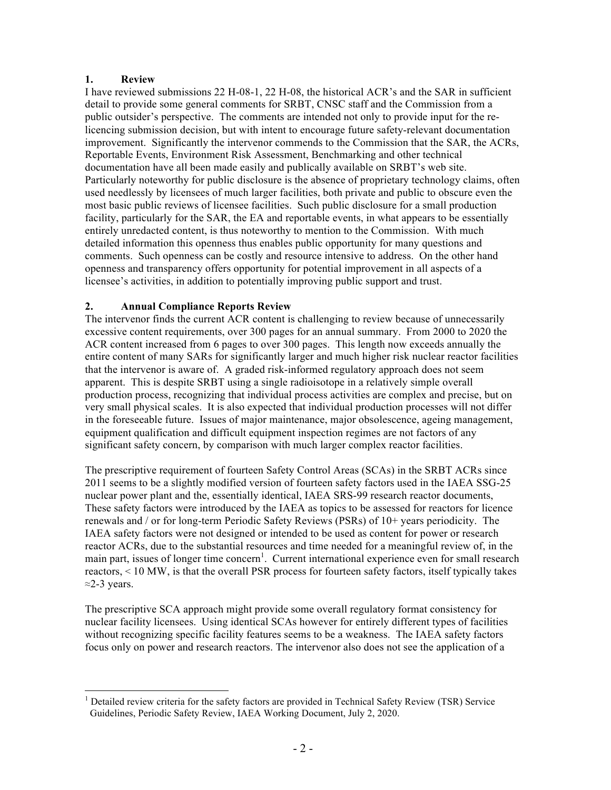#### **1. Review**

I have reviewed submissions 22 H-08-1, 22 H-08, the historical ACR's and the SAR in sufficient detail to provide some general comments for SRBT, CNSC staff and the Commission from a public outsider's perspective. The comments are intended not only to provide input for the relicencing submission decision, but with intent to encourage future safety-relevant documentation improvement. Significantly the intervenor commends to the Commission that the SAR, the ACRs, Reportable Events, Environment Risk Assessment, Benchmarking and other technical documentation have all been made easily and publically available on SRBT's web site. Particularly noteworthy for public disclosure is the absence of proprietary technology claims, often used needlessly by licensees of much larger facilities, both private and public to obscure even the most basic public reviews of licensee facilities. Such public disclosure for a small production facility, particularly for the SAR, the EA and reportable events, in what appears to be essentially entirely unredacted content, is thus noteworthy to mention to the Commission. With much detailed information this openness thus enables public opportunity for many questions and comments. Such openness can be costly and resource intensive to address. On the other hand openness and transparency offers opportunity for potential improvement in all aspects of a licensee's activities, in addition to potentially improving public support and trust.

#### **2. Annual Compliance Reports Review**

The intervenor finds the current ACR content is challenging to review because of unnecessarily excessive content requirements, over 300 pages for an annual summary. From 2000 to 2020 the ACR content increased from 6 pages to over 300 pages. This length now exceeds annually the entire content of many SARs for significantly larger and much higher risk nuclear reactor facilities that the intervenor is aware of. A graded risk-informed regulatory approach does not seem apparent. This is despite SRBT using a single radioisotope in a relatively simple overall production process, recognizing that individual process activities are complex and precise, but on very small physical scales. It is also expected that individual production processes will not differ in the foreseeable future. Issues of major maintenance, major obsolescence, ageing management, equipment qualification and difficult equipment inspection regimes are not factors of any significant safety concern, by comparison with much larger complex reactor facilities.

The prescriptive requirement of fourteen Safety Control Areas (SCAs) in the SRBT ACRs since 2011 seems to be a slightly modified version of fourteen safety factors used in the IAEA SSG-25 nuclear power plant and the, essentially identical, IAEA SRS-99 research reactor documents, These safety factors were introduced by the IAEA as topics to be assessed for reactors for licence renewals and / or for long-term Periodic Safety Reviews (PSRs) of 10+ years periodicity. The IAEA safety factors were not designed or intended to be used as content for power or research reactor ACRs, due to the substantial resources and time needed for a meaningful review of, in the main part, issues of longer time concern<sup>1</sup>. Current international experience even for small research reactors, < 10 MW, is that the overall PSR process for fourteen safety factors, itself typically takes  $\approx$ 2-3 years.

The prescriptive SCA approach might provide some overall regulatory format consistency for nuclear facility licensees. Using identical SCAs however for entirely different types of facilities without recognizing specific facility features seems to be a weakness. The IAEA safety factors focus only on power and research reactors. The intervenor also does not see the application of a

 $1$  Detailed review criteria for the safety factors are provided in Technical Safety Review (TSR) Service Guidelines, Periodic Safety Review, IAEA Working Document, July 2, 2020.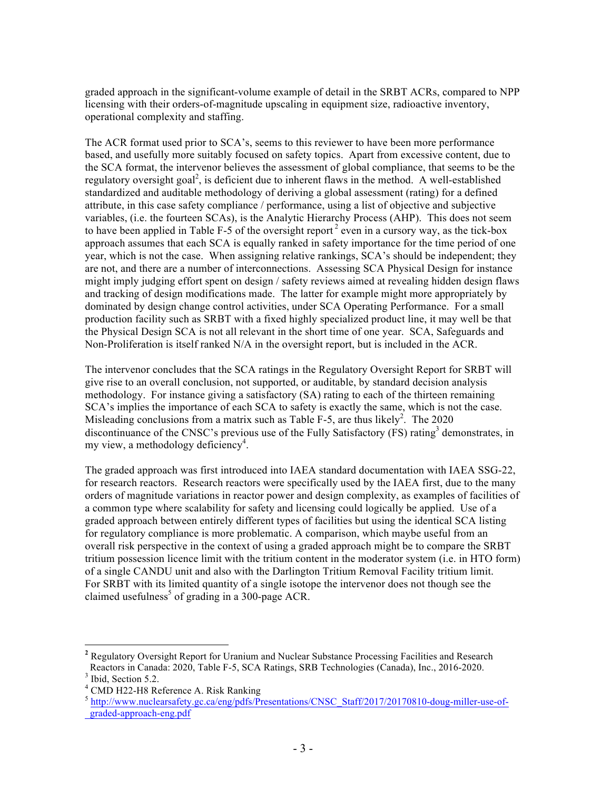graded approach in the significant-volume example of detail in the SRBT ACRs, compared to NPP licensing with their orders-of-magnitude upscaling in equipment size, radioactive inventory, operational complexity and staffing.

The ACR format used prior to SCA's, seems to this reviewer to have been more performance based, and usefully more suitably focused on safety topics. Apart from excessive content, due to the SCA format, the intervenor believes the assessment of global compliance, that seems to be the regulatory oversight goal<sup>2</sup>, is deficient due to inherent flaws in the method. A well-established standardized and auditable methodology of deriving a global assessment (rating) for a defined attribute, in this case safety compliance / performance, using a list of objective and subjective variables, (i.e. the fourteen SCAs), is the Analytic Hierarchy Process (AHP). This does not seem to have been applied in Table F-5 of the oversight report<sup>2</sup> even in a cursory way, as the tick-box approach assumes that each SCA is equally ranked in safety importance for the time period of one year, which is not the case. When assigning relative rankings, SCA's should be independent; they are not, and there are a number of interconnections. Assessing SCA Physical Design for instance might imply judging effort spent on design / safety reviews aimed at revealing hidden design flaws and tracking of design modifications made. The latter for example might more appropriately by dominated by design change control activities, under SCA Operating Performance. For a small production facility such as SRBT with a fixed highly specialized product line, it may well be that the Physical Design SCA is not all relevant in the short time of one year. SCA, Safeguards and Non-Proliferation is itself ranked N/A in the oversight report, but is included in the ACR.

The intervenor concludes that the SCA ratings in the Regulatory Oversight Report for SRBT will give rise to an overall conclusion, not supported, or auditable, by standard decision analysis methodology. For instance giving a satisfactory (SA) rating to each of the thirteen remaining SCA's implies the importance of each SCA to safety is exactly the same, which is not the case. Misleading conclusions from a matrix such as Table F-5, are thus likely<sup>2</sup>. The 2020 discontinuance of the CNSC's previous use of the Fully Satisfactory  $(FS)$  rating<sup>3</sup> demonstrates, in my view, a methodology deficiency<sup>4</sup>.

The graded approach was first introduced into IAEA standard documentation with IAEA SSG-22, for research reactors. Research reactors were specifically used by the IAEA first, due to the many orders of magnitude variations in reactor power and design complexity, as examples of facilities of a common type where scalability for safety and licensing could logically be applied. Use of a graded approach between entirely different types of facilities but using the identical SCA listing for regulatory compliance is more problematic. A comparison, which maybe useful from an overall risk perspective in the context of using a graded approach might be to compare the SRBT tritium possession licence limit with the tritium content in the moderator system (i.e. in HTO form) of a single CANDU unit and also with the Darlington Tritium Removal Facility tritium limit. For SRBT with its limited quantity of a single isotope the intervenor does not though see the claimed usefulness<sup>5</sup> of grading in a 300-page ACR.

<sup>&</sup>lt;sup>2</sup> Regulatory Oversight Report for Uranium and Nuclear Substance Processing Facilities and Research Reactors in Canada: 2020, Table F-5, SCA Ratings, SRB Technologies (Canada), Inc., 2016-2020.<br><sup>3</sup> Ibid, Section 5.2.<br><sup>4</sup> CMD H22-H8 Reference A. Risk Ranking

 $^5$  http://www.nuclearsafety.gc.ca/eng/pdfs/Presentations/CNSC\_Staff/2017/20170810-doug-miller-use-ofgraded-approach-eng.pdf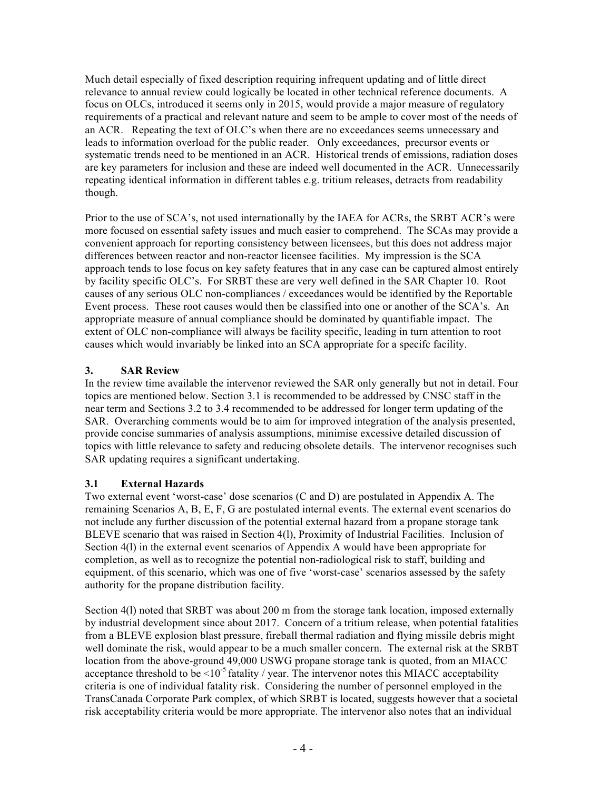Much detail especially of fixed description requiring infrequent updating and of little direct relevance to annual review could logically be located in other technical reference documents. A focus on OLCs, introduced it seems only in 2015, would provide a major measure of regulatory requirements of a practical and relevant nature and seem to be ample to cover most of the needs of an ACR. Repeating the text of OLC's when there are no exceedances seems unnecessary and leads to information overload for the public reader. Only exceedances, precursor events or systematic trends need to be mentioned in an ACR. Historical trends of emissions, radiation doses are key parameters for inclusion and these are indeed well documented in the ACR. Unnecessarily repeating identical information in different tables e.g. tritium releases, detracts from readability though.

Prior to the use of SCA's, not used internationally by the IAEA for ACRs, the SRBT ACR's were more focused on essential safety issues and much easier to comprehend. The SCAs may provide a convenient approach for reporting consistency between licensees, but this does not address major differences between reactor and non-reactor licensee facilities. My impression is the SCA approach tends to lose focus on key safety features that in any case can be captured almost entirely by facility specific OLC's. For SRBT these are very well defined in the SAR Chapter 10. Root causes of any serious OLC non-compliances / exceedances would be identified by the Reportable Event process. These root causes would then be classified into one or another of the SCA's. An appropriate measure of annual compliance should be dominated by quantifiable impact. The extent of OLC non-compliance will always be facility specific, leading in turn attention to root causes which would invariably be linked into an SCA appropriate for a specifc facility.

## **3. SAR Review**

In the review time available the intervenor reviewed the SAR only generally but not in detail. Four topics are mentioned below. Section 3.1 is recommended to be addressed by CNSC staff in the near term and Sections 3.2 to 3.4 recommended to be addressed for longer term updating of the SAR. Overarching comments would be to aim for improved integration of the analysis presented, provide concise summaries of analysis assumptions, minimise excessive detailed discussion of topics with little relevance to safety and reducing obsolete details. The intervenor recognises such SAR updating requires a significant undertaking.

## **3.1 External Hazards**

Two external event 'worst-case' dose scenarios (C and D) are postulated in Appendix A. The remaining Scenarios A, B, E, F, G are postulated internal events. The external event scenarios do not include any further discussion of the potential external hazard from a propane storage tank BLEVE scenario that was raised in Section 4(l), Proximity of Industrial Facilities. Inclusion of Section 4(l) in the external event scenarios of Appendix A would have been appropriate for completion, as well as to recognize the potential non-radiological risk to staff, building and equipment, of this scenario, which was one of five 'worst-case' scenarios assessed by the safety authority for the propane distribution facility.

Section 4(l) noted that SRBT was about 200 m from the storage tank location, imposed externally by industrial development since about 2017. Concern of a tritium release, when potential fatalities from a BLEVE explosion blast pressure, fireball thermal radiation and flying missile debris might well dominate the risk, would appear to be a much smaller concern. The external risk at the SRBT location from the above-ground 49,000 USWG propane storage tank is quoted, from an MIACC acceptance threshold to be  $\leq 10^{-5}$  fatality / year. The intervenor notes this MIACC acceptability criteria is one of individual fatality risk. Considering the number of personnel employed in the TransCanada Corporate Park complex, of which SRBT is located, suggests however that a societal risk acceptability criteria would be more appropriate. The intervenor also notes that an individual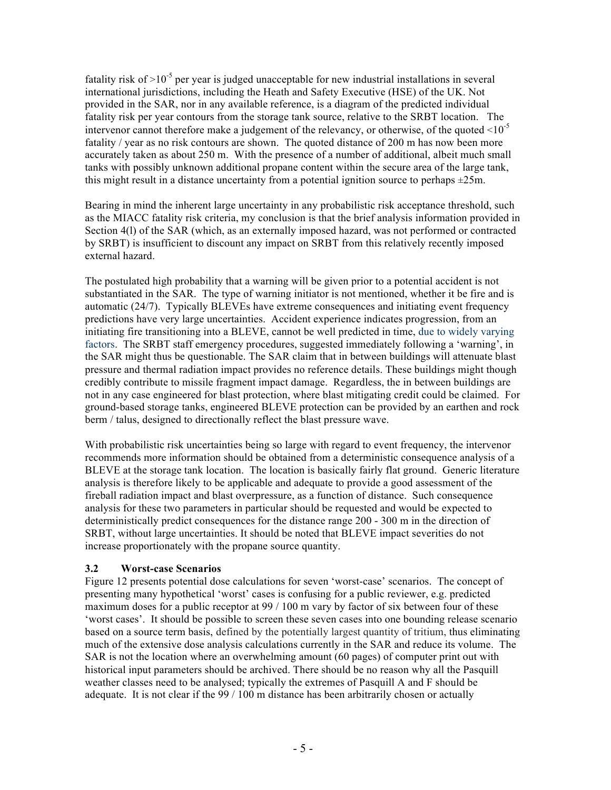fatality risk of  $>10^{-5}$  per year is judged unacceptable for new industrial installations in several international jurisdictions, including the Heath and Safety Executive (HSE) of the UK. Not provided in the SAR, nor in any available reference, is a diagram of the predicted individual fatality risk per year contours from the storage tank source, relative to the SRBT location. The intervenor cannot therefore make a judgement of the relevancy, or otherwise, of the quoted  $\langle 10^{-5} \rangle$ fatality / year as no risk contours are shown. The quoted distance of 200 m has now been more accurately taken as about 250 m. With the presence of a number of additional, albeit much small tanks with possibly unknown additional propane content within the secure area of the large tank, this might result in a distance uncertainty from a potential ignition source to perhaps  $\pm 25$ m.

Bearing in mind the inherent large uncertainty in any probabilistic risk acceptance threshold, such as the MIACC fatality risk criteria, my conclusion is that the brief analysis information provided in Section 4(l) of the SAR (which, as an externally imposed hazard, was not performed or contracted by SRBT) is insufficient to discount any impact on SRBT from this relatively recently imposed external hazard.

The postulated high probability that a warning will be given prior to a potential accident is not substantiated in the SAR. The type of warning initiator is not mentioned, whether it be fire and is automatic (24/7). Typically BLEVEs have extreme consequences and initiating event frequency predictions have very large uncertainties. Accident experience indicates progression, from an initiating fire transitioning into a BLEVE, cannot be well predicted in time, due to widely varying factors. The SRBT staff emergency procedures, suggested immediately following a 'warning', in the SAR might thus be questionable. The SAR claim that in between buildings will attenuate blast pressure and thermal radiation impact provides no reference details. These buildings might though credibly contribute to missile fragment impact damage. Regardless, the in between buildings are not in any case engineered for blast protection, where blast mitigating credit could be claimed. For ground-based storage tanks, engineered BLEVE protection can be provided by an earthen and rock berm / talus, designed to directionally reflect the blast pressure wave.

With probabilistic risk uncertainties being so large with regard to event frequency, the intervenor recommends more information should be obtained from a deterministic consequence analysis of a BLEVE at the storage tank location. The location is basically fairly flat ground. Generic literature analysis is therefore likely to be applicable and adequate to provide a good assessment of the fireball radiation impact and blast overpressure, as a function of distance. Such consequence analysis for these two parameters in particular should be requested and would be expected to deterministically predict consequences for the distance range 200 - 300 m in the direction of SRBT, without large uncertainties. It should be noted that BLEVE impact severities do not increase proportionately with the propane source quantity.

#### **3.2 Worst-case Scenarios**

Figure 12 presents potential dose calculations for seven 'worst-case' scenarios. The concept of presenting many hypothetical 'worst' cases is confusing for a public reviewer, e.g. predicted maximum doses for a public receptor at 99 / 100 m vary by factor of six between four of these 'worst cases'. It should be possible to screen these seven cases into one bounding release scenario based on a source term basis, defined by the potentially largest quantity of tritium, thus eliminating much of the extensive dose analysis calculations currently in the SAR and reduce its volume. The SAR is not the location where an overwhelming amount (60 pages) of computer print out with historical input parameters should be archived. There should be no reason why all the Pasquill weather classes need to be analysed; typically the extremes of Pasquill A and F should be adequate. It is not clear if the 99 / 100 m distance has been arbitrarily chosen or actually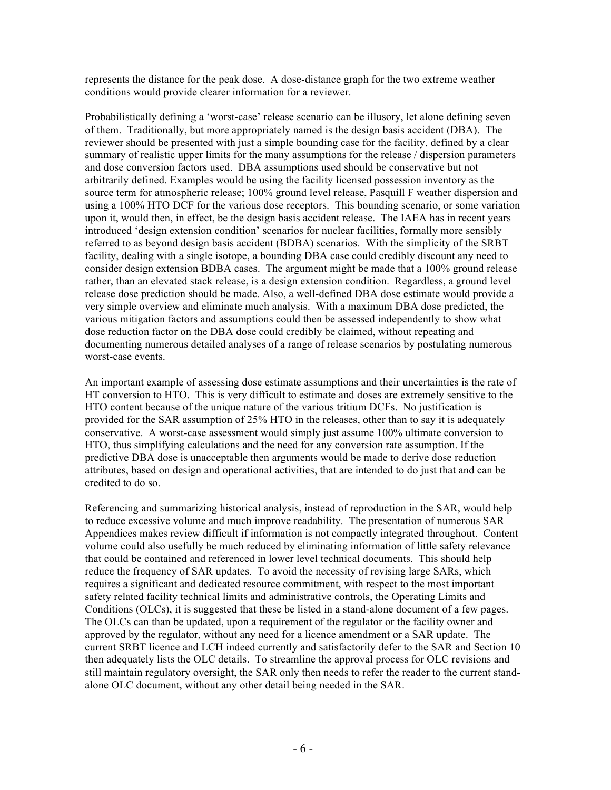represents the distance for the peak dose. A dose-distance graph for the two extreme weather conditions would provide clearer information for a reviewer.

Probabilistically defining a 'worst-case' release scenario can be illusory, let alone defining seven of them. Traditionally, but more appropriately named is the design basis accident (DBA). The reviewer should be presented with just a simple bounding case for the facility, defined by a clear summary of realistic upper limits for the many assumptions for the release / dispersion parameters and dose conversion factors used. DBA assumptions used should be conservative but not arbitrarily defined. Examples would be using the facility licensed possession inventory as the source term for atmospheric release; 100% ground level release, Pasquill F weather dispersion and using a 100% HTO DCF for the various dose receptors. This bounding scenario, or some variation upon it, would then, in effect, be the design basis accident release. The IAEA has in recent years introduced 'design extension condition' scenarios for nuclear facilities, formally more sensibly referred to as beyond design basis accident (BDBA) scenarios. With the simplicity of the SRBT facility, dealing with a single isotope, a bounding DBA case could credibly discount any need to consider design extension BDBA cases. The argument might be made that a 100% ground release rather, than an elevated stack release, is a design extension condition. Regardless, a ground level release dose prediction should be made. Also, a well-defined DBA dose estimate would provide a very simple overview and eliminate much analysis. With a maximum DBA dose predicted, the various mitigation factors and assumptions could then be assessed independently to show what dose reduction factor on the DBA dose could credibly be claimed, without repeating and documenting numerous detailed analyses of a range of release scenarios by postulating numerous worst-case events.

An important example of assessing dose estimate assumptions and their uncertainties is the rate of HT conversion to HTO. This is very difficult to estimate and doses are extremely sensitive to the HTO content because of the unique nature of the various tritium DCFs. No justification is provided for the SAR assumption of 25% HTO in the releases, other than to say it is adequately conservative. A worst-case assessment would simply just assume 100% ultimate conversion to HTO, thus simplifying calculations and the need for any conversion rate assumption. If the predictive DBA dose is unacceptable then arguments would be made to derive dose reduction attributes, based on design and operational activities, that are intended to do just that and can be credited to do so.

Referencing and summarizing historical analysis, instead of reproduction in the SAR, would help to reduce excessive volume and much improve readability. The presentation of numerous SAR Appendices makes review difficult if information is not compactly integrated throughout. Content volume could also usefully be much reduced by eliminating information of little safety relevance that could be contained and referenced in lower level technical documents. This should help reduce the frequency of SAR updates. To avoid the necessity of revising large SARs, which requires a significant and dedicated resource commitment, with respect to the most important safety related facility technical limits and administrative controls, the Operating Limits and Conditions (OLCs), it is suggested that these be listed in a stand-alone document of a few pages. The OLCs can than be updated, upon a requirement of the regulator or the facility owner and approved by the regulator, without any need for a licence amendment or a SAR update. The current SRBT licence and LCH indeed currently and satisfactorily defer to the SAR and Section 10 then adequately lists the OLC details. To streamline the approval process for OLC revisions and still maintain regulatory oversight, the SAR only then needs to refer the reader to the current standalone OLC document, without any other detail being needed in the SAR.